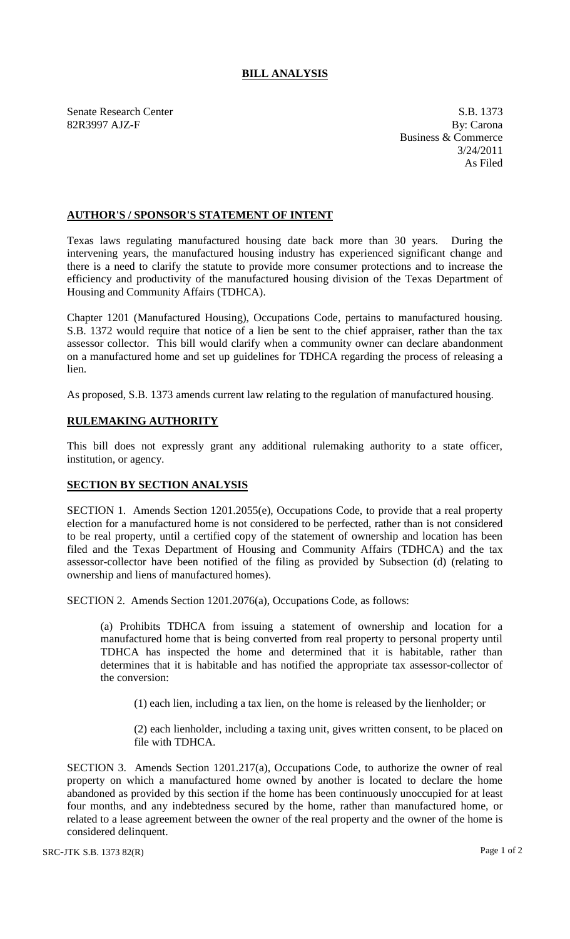## **BILL ANALYSIS**

Senate Research Center S.B. 1373 82R3997 AJZ-F By: Carona

Business & Commerce 3/24/2011 As Filed

## **AUTHOR'S / SPONSOR'S STATEMENT OF INTENT**

Texas laws regulating manufactured housing date back more than 30 years. During the intervening years, the manufactured housing industry has experienced significant change and there is a need to clarify the statute to provide more consumer protections and to increase the efficiency and productivity of the manufactured housing division of the Texas Department of Housing and Community Affairs (TDHCA).

Chapter 1201 (Manufactured Housing), Occupations Code, pertains to manufactured housing. S.B. 1372 would require that notice of a lien be sent to the chief appraiser, rather than the tax assessor collector. This bill would clarify when a community owner can declare abandonment on a manufactured home and set up guidelines for TDHCA regarding the process of releasing a lien.

As proposed, S.B. 1373 amends current law relating to the regulation of manufactured housing.

## **RULEMAKING AUTHORITY**

This bill does not expressly grant any additional rulemaking authority to a state officer, institution, or agency.

## **SECTION BY SECTION ANALYSIS**

SECTION 1. Amends Section 1201.2055(e), Occupations Code, to provide that a real property election for a manufactured home is not considered to be perfected, rather than is not considered to be real property, until a certified copy of the statement of ownership and location has been filed and the Texas Department of Housing and Community Affairs (TDHCA) and the tax assessor-collector have been notified of the filing as provided by Subsection (d) (relating to ownership and liens of manufactured homes).

SECTION 2. Amends Section 1201.2076(a), Occupations Code, as follows:

(a) Prohibits TDHCA from issuing a statement of ownership and location for a manufactured home that is being converted from real property to personal property until TDHCA has inspected the home and determined that it is habitable, rather than determines that it is habitable and has notified the appropriate tax assessor-collector of the conversion:

(1) each lien, including a tax lien, on the home is released by the lienholder; or

(2) each lienholder, including a taxing unit, gives written consent, to be placed on file with TDHCA.

SECTION 3. Amends Section 1201.217(a), Occupations Code, to authorize the owner of real property on which a manufactured home owned by another is located to declare the home abandoned as provided by this section if the home has been continuously unoccupied for at least four months, and any indebtedness secured by the home, rather than manufactured home, or related to a lease agreement between the owner of the real property and the owner of the home is considered delinquent.